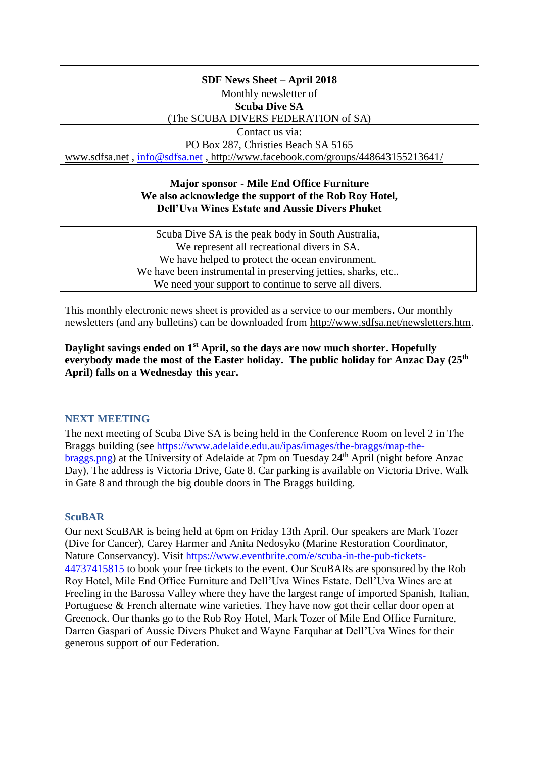### **SDF News Sheet – April 2018**

# Monthly newsletter of

**Scuba Dive SA**

(The SCUBA DIVERS FEDERATION of SA)

Contact us via:

PO Box 287, Christies Beach SA 5165 [www.sdfsa.net](http://www.sdfsa.net/) , [info@sdfsa.net](mailto:info@sdfsa.net) , <http://www.facebook.com/groups/448643155213641/>

### **Major sponsor - Mile End Office Furniture We also acknowledge the support of the Rob Roy Hotel, Dell'Uva Wines Estate and Aussie Divers Phuket**

| Scuba Dive SA is the peak body in South Australia,           |  |
|--------------------------------------------------------------|--|
| We represent all recreational divers in SA.                  |  |
| We have helped to protect the ocean environment.             |  |
| We have been instrumental in preserving jetties, sharks, etc |  |
| We need your support to continue to serve all divers.        |  |

This monthly electronic news sheet is provided as a service to our members**.** Our monthly newsletters (and any bulletins) can be downloaded from [http://www.sdfsa.net/newsletters.htm.](http://www.sdfsa.net/newsletters.htm)

**Daylight savings ended on 1st April, so the days are now much shorter. Hopefully everybody made the most of the Easter holiday. The public holiday for Anzac Day (25th April) falls on a Wednesday this year.**

# **NEXT MEETING**

The next meeting of Scuba Dive SA is being held in the Conference Room on level 2 in The Braggs building (see [https://www.adelaide.edu.au/ipas/images/the-braggs/map-the](https://www.adelaide.edu.au/ipas/images/the-braggs/map-the-braggs.png)[braggs.png\)](https://www.adelaide.edu.au/ipas/images/the-braggs/map-the-braggs.png) at the University of Adelaide at 7pm on Tuesday 24<sup>th</sup> April (night before Anzac Day). The address is Victoria Drive, Gate 8. Car parking is available on Victoria Drive. Walk in Gate 8 and through the big double doors in The Braggs building.

### **ScuBAR**

Our next ScuBAR is being held at 6pm on Friday 13th April. Our speakers are Mark Tozer (Dive for Cancer), Carey Harmer and Anita Nedosyko (Marine Restoration Coordinator, Nature Conservancy). Visit [https://www.eventbrite.com/e/scuba-in-the-pub-tickets-](https://www.eventbrite.com/e/scuba-in-the-pub-tickets-44737415815)[44737415815](https://www.eventbrite.com/e/scuba-in-the-pub-tickets-44737415815) to book your free tickets to the event. Our ScuBARs are sponsored by the Rob Roy Hotel, Mile End Office Furniture and Dell'Uva Wines Estate. Dell'Uva Wines are at Freeling in the Barossa Valley where they have the largest range of imported Spanish, Italian, Portuguese & French alternate wine varieties. They have now got their cellar door open at Greenock. Our thanks go to the Rob Roy Hotel, Mark Tozer of Mile End Office Furniture, Darren Gaspari of Aussie Divers Phuket and Wayne Farquhar at Dell'Uva Wines for their generous support of our Federation.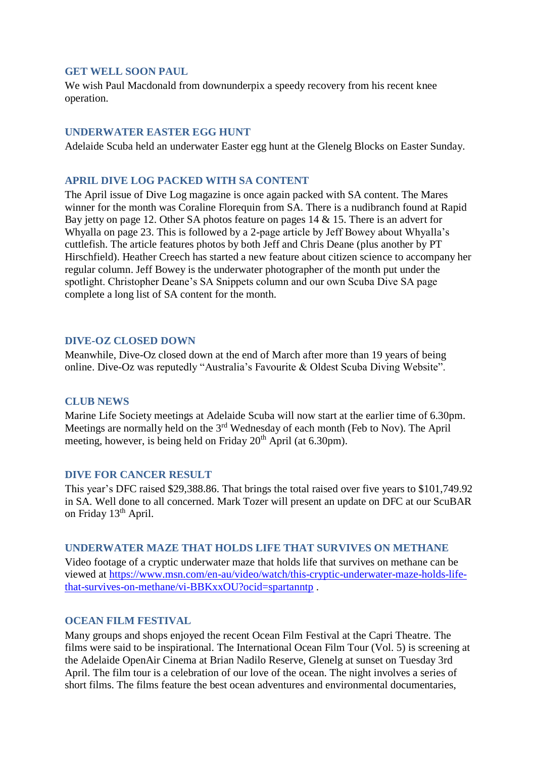#### **GET WELL SOON PAUL**

We wish Paul Macdonald from downunderpix a speedy recovery from his recent knee operation.

#### **UNDERWATER EASTER EGG HUNT**

Adelaide Scuba held an underwater Easter egg hunt at the Glenelg Blocks on Easter Sunday.

### **APRIL DIVE LOG PACKED WITH SA CONTENT**

The April issue of Dive Log magazine is once again packed with SA content. The Mares winner for the month was Coraline Florequin from SA. There is a nudibranch found at Rapid Bay jetty on page 12. Other SA photos feature on pages 14 & 15. There is an advert for Whyalla on page 23. This is followed by a 2-page article by Jeff Bowey about Whyalla's cuttlefish. The article features photos by both Jeff and Chris Deane (plus another by PT Hirschfield). Heather Creech has started a new feature about citizen science to accompany her regular column. Jeff Bowey is the underwater photographer of the month put under the spotlight. Christopher Deane's SA Snippets column and our own Scuba Dive SA page complete a long list of SA content for the month.

#### **DIVE-OZ CLOSED DOWN**

Meanwhile, Dive-Oz closed down at the end of March after more than 19 years of being online. Dive-Oz was reputedly "Australia's Favourite & Oldest Scuba Diving Website".

#### **CLUB NEWS**

Marine Life Society meetings at Adelaide Scuba will now start at the earlier time of 6.30pm. Meetings are normally held on the 3<sup>rd</sup> Wednesday of each month (Feb to Nov). The April meeting, however, is being held on Friday  $20<sup>th</sup>$  April (at 6.30pm).

#### **DIVE FOR CANCER RESULT**

This year's DFC raised \$29,388.86. That brings the total raised over five years to \$101,749.92 in SA. Well done to all concerned. Mark Tozer will present an update on DFC at our ScuBAR on Friday 13<sup>th</sup> April.

#### **UNDERWATER MAZE THAT HOLDS LIFE THAT SURVIVES ON METHANE**

Video footage of a cryptic underwater maze that holds life that survives on methane can be viewed at [https://www.msn.com/en-au/video/watch/this-cryptic-underwater-maze-holds-life](https://www.msn.com/en-au/video/watch/this-cryptic-underwater-maze-holds-life-that-survives-on-methane/vi-BBKxxOU?ocid=spartanntp)[that-survives-on-methane/vi-BBKxxOU?ocid=spartanntp](https://www.msn.com/en-au/video/watch/this-cryptic-underwater-maze-holds-life-that-survives-on-methane/vi-BBKxxOU?ocid=spartanntp) .

### **OCEAN FILM FESTIVAL**

Many groups and shops enjoyed the recent Ocean Film Festival at the Capri Theatre. The films were said to be inspirational. The International Ocean Film Tour (Vol. 5) is screening at the Adelaide OpenAir Cinema at Brian Nadilo Reserve, Glenelg at sunset on Tuesday 3rd April. The film tour is a celebration of our love of the ocean. The night involves a series of short films. The films feature the best ocean adventures and environmental documentaries,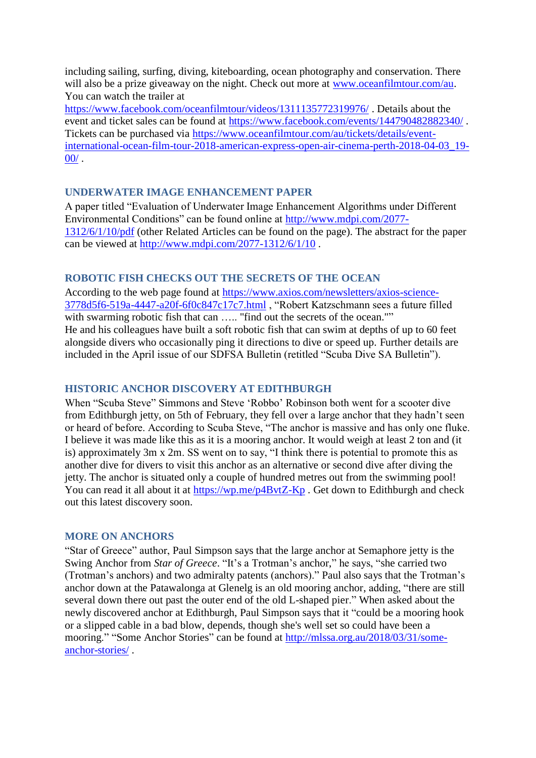including sailing, surfing, diving, kiteboarding, ocean photography and conservation. There will also be a prize giveaway on the night. Check out more at [www.oceanfilmtour.com/au.](http://www.oceanfilmtour.com/au) You can watch the trailer at

<https://www.facebook.com/oceanfilmtour/videos/1311135772319976/> . Details about the event and ticket sales can be found at<https://www.facebook.com/events/144790482882340/> . Tickets can be purchased via [https://www.oceanfilmtour.com/au/tickets/details/event](https://www.oceanfilmtour.com/au/tickets/details/event-international-ocean-film-tour-2018-american-express-open-air-cinema-perth-2018-04-03_19-00/)[international-ocean-film-tour-2018-american-express-open-air-cinema-perth-2018-04-03\\_19-](https://www.oceanfilmtour.com/au/tickets/details/event-international-ocean-film-tour-2018-american-express-open-air-cinema-perth-2018-04-03_19-00/)  $00/$  .

### **UNDERWATER IMAGE ENHANCEMENT PAPER**

A paper titled "Evaluation of Underwater Image Enhancement Algorithms under Different Environmental Conditions" can be found online at [http://www.mdpi.com/2077-](http://www.mdpi.com/2077-1312/6/1/10/pdf) [1312/6/1/10/pdf](http://www.mdpi.com/2077-1312/6/1/10/pdf) (other Related Articles can be found on the page). The abstract for the paper can be viewed at<http://www.mdpi.com/2077-1312/6/1/10> .

### **ROBOTIC FISH CHECKS OUT THE SECRETS OF THE OCEAN**

According to the web page found at [https://www.axios.com/newsletters/axios-science-](https://www.axios.com/newsletters/axios-science-3778d5f6-519a-4447-a20f-6f0c847c17c7.html)[3778d5f6-519a-4447-a20f-6f0c847c17c7.html](https://www.axios.com/newsletters/axios-science-3778d5f6-519a-4447-a20f-6f0c847c17c7.html) , "Robert Katzschmann sees a future filled with swarming robotic fish that can ..... "find out the secrets of the ocean."" He and his colleagues have built a soft robotic fish that can swim at depths of up to 60 feet alongside divers who occasionally ping it directions to dive or speed up. Further details are included in the April issue of our SDFSA Bulletin (retitled "Scuba Dive SA Bulletin").

# **HISTORIC ANCHOR DISCOVERY AT EDITHBURGH**

When "Scuba Steve" Simmons and Steve 'Robbo' Robinson both went for a scooter dive from Edithburgh jetty, on 5th of February, they fell over a large anchor that they hadn't seen or heard of before. According to Scuba Steve, "The anchor is massive and has only one fluke. I believe it was made like this as it is a mooring anchor. It would weigh at least 2 ton and (it is) approximately 3m x 2m. SS went on to say, "I think there is potential to promote this as another dive for divers to visit this anchor as an alternative or second dive after diving the jetty. The anchor is situated only a couple of hundred metres out from the swimming pool! You can read it all about it at<https://wp.me/p4BvtZ-Kp>. Get down to Edithburgh and check out this latest discovery soon.

### **MORE ON ANCHORS**

"Star of Greece" author, Paul Simpson says that the large anchor at Semaphore jetty is the Swing Anchor from *Star of Greece*. "It's a Trotman's anchor," he says, "she carried two (Trotman's anchors) and two admiralty patents (anchors)." Paul also says that the Trotman's anchor down at the Patawalonga at Glenelg is an old mooring anchor, adding, "there are still several down there out past the outer end of the old L-shaped pier." When asked about the newly discovered anchor at Edithburgh, Paul Simpson says that it "could be a mooring hook or a slipped cable in a bad blow, depends, though she's well set so could have been a mooring." "Some Anchor Stories" can be found at [http://mlssa.org.au/2018/03/31/some](http://mlssa.org.au/2018/03/31/some-anchor-stories/)[anchor-stories/](http://mlssa.org.au/2018/03/31/some-anchor-stories/) .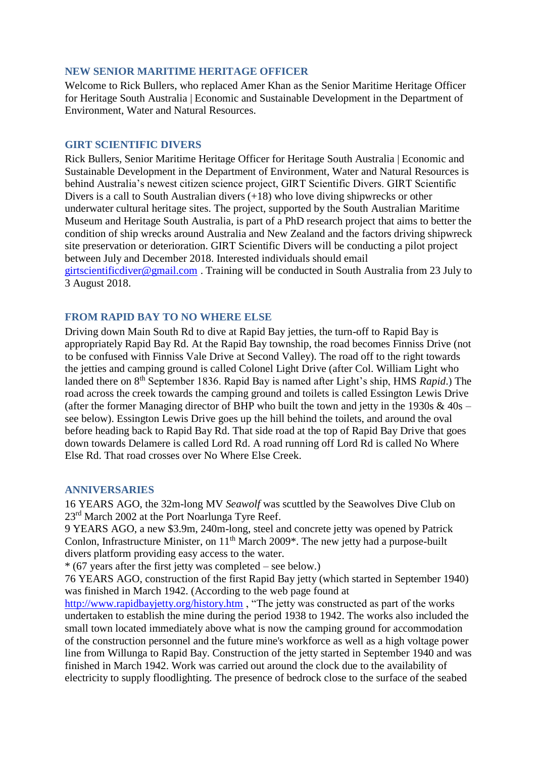### **NEW SENIOR MARITIME HERITAGE OFFICER**

Welcome to Rick Bullers, who replaced Amer Khan as the Senior Maritime Heritage Officer for Heritage South Australia | Economic and Sustainable Development in the Department of Environment, Water and Natural Resources.

### **GIRT SCIENTIFIC DIVERS**

Rick Bullers, Senior Maritime Heritage Officer for Heritage South Australia | Economic and Sustainable Development in the Department of Environment, Water and Natural Resources is behind Australia's newest citizen science project, GIRT Scientific Divers. GIRT Scientific Divers is a call to South Australian divers (+18) who love diving shipwrecks or other underwater cultural heritage sites. The project, supported by the South Australian Maritime Museum and Heritage South Australia, is part of a PhD research project that aims to better the condition of ship wrecks around Australia and New Zealand and the factors driving shipwreck site preservation or deterioration. GIRT Scientific Divers will be conducting a pilot project between July and December 2018. Interested individuals should email [girtscientificdiver@gmail.com](mailto:girtscientificdiver@gmail.com) . Training will be conducted in South Australia from 23 July to 3 August 2018.

# **FROM RAPID BAY TO NO WHERE ELSE**

Driving down Main South Rd to dive at Rapid Bay jetties, the turn-off to Rapid Bay is appropriately Rapid Bay Rd. At the Rapid Bay township, the road becomes Finniss Drive (not to be confused with Finniss Vale Drive at Second Valley). The road off to the right towards the jetties and camping ground is called Colonel Light Drive (after Col. William Light who landed there on 8th September 1836. Rapid Bay is named after Light's ship, HMS *Rapid*.) The road across the creek towards the camping ground and toilets is called Essington Lewis Drive (after the former Managing director of BHP who built the town and jetty in the 1930s  $\&$  40s – see below). Essington Lewis Drive goes up the hill behind the toilets, and around the oval before heading back to Rapid Bay Rd. That side road at the top of Rapid Bay Drive that goes down towards Delamere is called Lord Rd. A road running off Lord Rd is called No Where Else Rd. That road crosses over No Where Else Creek.

### **ANNIVERSARIES**

16 YEARS AGO, the 32m-long MV *Seawolf* was scuttled by the Seawolves Dive Club on 23<sup>rd</sup> March 2002 at the Port Noarlunga Tyre Reef.

9 YEARS AGO, a new \$3.9m, 240m-long, steel and concrete jetty was opened by Patrick Conlon, Infrastructure Minister, on 11<sup>th</sup> March 2009\*. The new jetty had a purpose-built divers platform providing easy access to the water.

\* (67 years after the first jetty was completed – see below.)

76 YEARS AGO, construction of the first Rapid Bay jetty (which started in September 1940) was finished in March 1942. (According to the web page found at

<http://www.rapidbayjetty.org/history.htm> , "The jetty was constructed as part of the works undertaken to establish the mine during the period 1938 to 1942. The works also included the small town located immediately above what is now the camping ground for accommodation of the construction personnel and the future mine's workforce as well as a high voltage power line from Willunga to Rapid Bay. Construction of the jetty started in September 1940 and was finished in March 1942. Work was carried out around the clock due to the availability of electricity to supply floodlighting. The presence of bedrock close to the surface of the seabed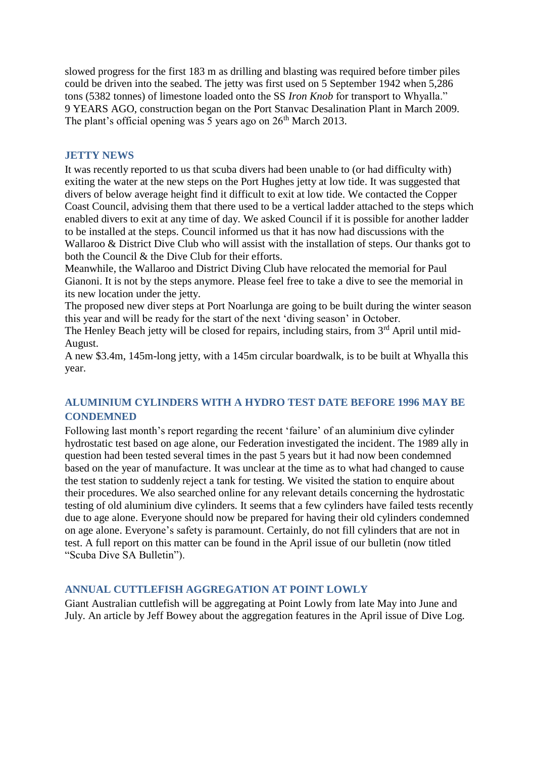slowed progress for the first 183 m as drilling and blasting was required before timber piles could be driven into the seabed. The jetty was first used on 5 September 1942 when 5,286 tons (5382 tonnes) of limestone loaded onto the SS *Iron Knob* for transport to Whyalla." 9 YEARS AGO, construction began on the Port Stanvac Desalination Plant in March 2009. The plant's official opening was 5 years ago on  $26<sup>th</sup>$  March 2013.

### **JETTY NEWS**

It was recently reported to us that scuba divers had been unable to (or had difficulty with) exiting the water at the new steps on the Port Hughes jetty at low tide. It was suggested that divers of below average height find it difficult to exit at low tide. We contacted the Copper Coast Council, advising them that there used to be a vertical ladder attached to the steps which enabled divers to exit at any time of day. We asked Council if it is possible for another ladder to be installed at the steps. Council informed us that it has now had discussions with the Wallaroo & District Dive Club who will assist with the installation of steps. Our thanks got to both the Council & the Dive Club for their efforts.

Meanwhile, the Wallaroo and District Diving Club have relocated the memorial for Paul Gianoni. It is not by the steps anymore. Please feel free to take a dive to see the memorial in its new location under the jetty.

The proposed new diver steps at Port Noarlunga are going to be built during the winter season this year and will be ready for the start of the next 'diving season' in October.

The Henley Beach jetty will be closed for repairs, including stairs, from 3<sup>rd</sup> April until mid-August.

A new \$3.4m, 145m-long jetty, with a 145m circular boardwalk, is to be built at Whyalla this year.

# **ALUMINIUM CYLINDERS WITH A HYDRO TEST DATE BEFORE 1996 MAY BE CONDEMNED**

Following last month's report regarding the recent 'failure' of an aluminium dive cylinder hydrostatic test based on age alone, our Federation investigated the incident. The 1989 ally in question had been tested several times in the past 5 years but it had now been condemned based on the year of manufacture. It was unclear at the time as to what had changed to cause the test station to suddenly reject a tank for testing. We visited the station to enquire about their procedures. We also searched online for any relevant details concerning the hydrostatic testing of old aluminium dive cylinders. It seems that a few cylinders have failed tests recently due to age alone. Everyone should now be prepared for having their old cylinders condemned on age alone. Everyone's safety is paramount. Certainly, do not fill cylinders that are not in test. A full report on this matter can be found in the April issue of our bulletin (now titled "Scuba Dive SA Bulletin").

### **ANNUAL CUTTLEFISH AGGREGATION AT POINT LOWLY**

Giant Australian cuttlefish will be aggregating at Point Lowly from late May into June and July. An article by Jeff Bowey about the aggregation features in the April issue of Dive Log.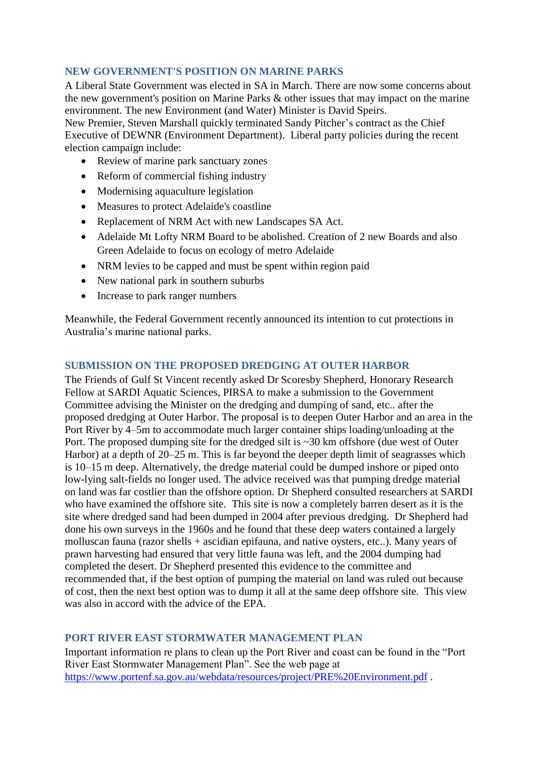# **NEW GOVERNMENT'S POSITION ON MARINE PARKS**

A Liberal State Government was elected in SA in March. There are now some concerns about the new government's position on Marine Parks & other issues that may impact on the marine environment. The new Environment (and Water) Minister is David Speirs.

New Premier, Steven Marshall quickly terminated Sandy Pitcher's contract as the Chief Executive of DEWNR (Environment Department). Liberal party policies during the recent election campaign include:

- Review of marine park sanctuary zones
- Reform of commercial fishing industry
- Modernising aquaculture legislation
- Measures to protect Adelaide's coastline
- Replacement of NRM Act with new Landscapes SA Act.
- Adelaide Mt Lofty NRM Board to be abolished. Creation of 2 new Boards and also Green Adelaide to focus on ecology of metro Adelaide
- NRM levies to be capped and must be spent within region paid
- New national park in southern suburbs
- Increase to park ranger numbers

Meanwhile, the Federal Government recently announced its intention to cut protections in Australia's marine national parks.

### **SUBMISSION ON THE PROPOSED DREDGING AT OUTER HARBOR**

The Friends of Gulf St Vincent recently asked Dr Scoresby Shepherd, Honorary Research Fellow at SARDI Aquatic Sciences, PIRSA to make a submission to the Government Committee advising the Minister on the dredging and dumping of sand, etc.. after the proposed dredging at Outer Harbor. The proposal is to deepen Outer Harbor and an area in the Port River by 4–5m to accommodate much larger container ships loading/unloading at the Port. The proposed dumping site for the dredged silt is ~30 km offshore (due west of Outer Harbor) at a depth of  $20-25$  m. This is far beyond the deeper depth limit of seagrasses which is 10–15 m deep. Alternatively, the dredge material could be dumped inshore or piped onto low-lying salt-fields no longer used. The advice received was that pumping dredge material on land was far costlier than the offshore option. Dr Shepherd consulted researchers at SARDI who have examined the offshore site. This site is now a completely barren desert as it is the site where dredged sand had been dumped in 2004 after previous dredging. Dr Shepherd had done his own surveys in the 1960s and he found that these deep waters contained a largely molluscan fauna (razor shells + ascidian epifauna, and native oysters, etc..). Many years of prawn harvesting had ensured that very little fauna was left, and the 2004 dumping had completed the desert. Dr Shepherd presented this evidence to the committee and recommended that, if the best option of pumping the material on land was ruled out because of cost, then the next best option was to dump it all at the same deep offshore site. This view was also in accord with the advice of the EPA.

# **PORT RIVER EAST STORMWATER MANAGEMENT PLAN**

Important information re plans to clean up the Port River and coast can be found in the "Port River East Stormwater Management Plan". See the web page at <https://www.portenf.sa.gov.au/webdata/resources/project/PRE%20Environment.pdf> .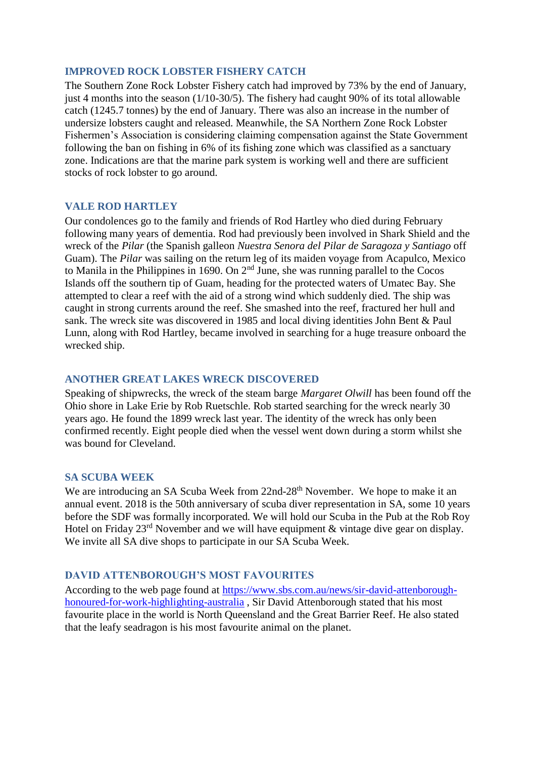### **IMPROVED ROCK LOBSTER FISHERY CATCH**

The Southern Zone Rock Lobster Fishery catch had improved by 73% by the end of January, just 4 months into the season (1/10-30/5). The fishery had caught 90% of its total allowable catch (1245.7 tonnes) by the end of January. There was also an increase in the number of undersize lobsters caught and released. Meanwhile, the SA Northern Zone Rock Lobster Fishermen's Association is considering claiming compensation against the State Government following the ban on fishing in 6% of its fishing zone which was classified as a sanctuary zone. Indications are that the marine park system is working well and there are sufficient stocks of rock lobster to go around.

### **VALE ROD HARTLEY**

Our condolences go to the family and friends of Rod Hartley who died during February following many years of dementia. Rod had previously been involved in Shark Shield and the wreck of the *Pilar* (the Spanish galleon *Nuestra Senora del Pilar de Saragoza y Santiago* off Guam). The *Pilar* was sailing on the return leg of its maiden voyage from Acapulco, Mexico to Manila in the Philippines in 1690. On  $2<sup>nd</sup>$  June, she was running parallel to the Cocos Islands off the southern tip of Guam, heading for the protected waters of Umatec Bay. She attempted to clear a reef with the aid of a strong wind which suddenly died. The ship was caught in strong currents around the reef. She smashed into the reef, fractured her hull and sank. The wreck site was discovered in 1985 and local diving identities John Bent & Paul Lunn, along with Rod Hartley, became involved in searching for a huge treasure onboard the wrecked ship.

### **ANOTHER GREAT LAKES WRECK DISCOVERED**

Speaking of shipwrecks, the wreck of the steam barge *Margaret Olwill* has been found off the Ohio shore in Lake Erie by Rob Ruetschle. Rob started searching for the wreck nearly 30 years ago. He found the 1899 wreck last year. The identity of the wreck has only been confirmed recently. Eight people died when the vessel went down during a storm whilst she was bound for Cleveland.

### **SA SCUBA WEEK**

We are introducing an SA Scuba Week from 22nd-28<sup>th</sup> November. We hope to make it an annual event. 2018 is the 50th anniversary of scuba diver representation in SA, some 10 years before the SDF was formally incorporated. We will hold our Scuba in the Pub at the Rob Roy Hotel on Friday  $23<sup>rd</sup>$  November and we will have equipment & vintage dive gear on display. We invite all SA dive shops to participate in our SA Scuba Week.

# **DAVID ATTENBOROUGH'S MOST FAVOURITES**

According to the web page found at [https://www.sbs.com.au/news/sir-david-attenborough](https://www.sbs.com.au/news/sir-david-attenborough-honoured-for-work-highlighting-australia)[honoured-for-work-highlighting-australia](https://www.sbs.com.au/news/sir-david-attenborough-honoured-for-work-highlighting-australia) , Sir David Attenborough stated that his most favourite place in the world is North Queensland and the Great Barrier Reef. He also stated that the leafy seadragon is his most favourite animal on the planet.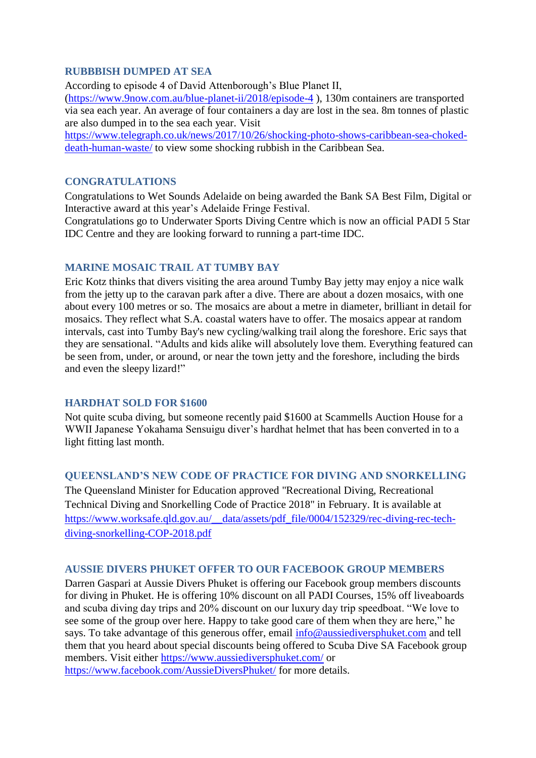### **RUBBBISH DUMPED AT SEA**

According to episode 4 of David Attenborough's Blue Planet II,

[\(https://www.9now.com.au/blue-planet-ii/2018/episode-4](https://www.9now.com.au/blue-planet-ii/2018/episode-4) ), 130m containers are transported via sea each year. An average of four containers a day are lost in the sea. 8m tonnes of plastic are also dumped in to the sea each year. Visit

[https://www.telegraph.co.uk/news/2017/10/26/shocking-photo-shows-caribbean-sea-choked](https://www.telegraph.co.uk/news/2017/10/26/shocking-photo-shows-caribbean-sea-choked-death-human-waste/)[death-human-waste/](https://www.telegraph.co.uk/news/2017/10/26/shocking-photo-shows-caribbean-sea-choked-death-human-waste/) to view some shocking rubbish in the Caribbean Sea.

#### **CONGRATULATIONS**

Congratulations to Wet Sounds Adelaide on being awarded the Bank SA Best Film, Digital or Interactive award at this year's Adelaide Fringe Festival.

Congratulations go to Underwater Sports Diving Centre which is now an official PADI 5 Star IDC Centre and they are looking forward to running a part-time IDC.

### **MARINE MOSAIC TRAIL AT TUMBY BAY**

Eric Kotz thinks that divers visiting the area around Tumby Bay jetty may enjoy a nice walk from the jetty up to the caravan park after a dive. There are about a dozen mosaics, with one about every 100 metres or so. The mosaics are about a metre in diameter, brilliant in detail for mosaics. They reflect what S.A. coastal waters have to offer. The mosaics appear at random intervals, cast into Tumby Bay's new cycling/walking trail along the foreshore. Eric says that they are sensational. "Adults and kids alike will absolutely love them. Everything featured can be seen from, under, or around, or near the town jetty and the foreshore, including the birds and even the sleepy lizard!"

### **HARDHAT SOLD FOR \$1600**

Not quite scuba diving, but someone recently paid \$1600 at Scammells Auction House for a WWII Japanese Yokahama Sensuigu diver's hardhat helmet that has been converted in to a light fitting last month.

### **QUEENSLAND'S NEW CODE OF PRACTICE FOR DIVING AND SNORKELLING**

The Queensland Minister for Education approved "Recreational Diving, Recreational Technical Diving and Snorkelling Code of Practice 2018" in February. It is available at [https://www.worksafe.qld.gov.au/\\_\\_data/assets/pdf\\_file/0004/152329/rec-diving-rec-tech](https://www.worksafe.qld.gov.au/__data/assets/pdf_file/0004/152329/rec-diving-rec-tech-diving-snorkelling-COP-2018.pdf)[diving-snorkelling-COP-2018.pdf](https://www.worksafe.qld.gov.au/__data/assets/pdf_file/0004/152329/rec-diving-rec-tech-diving-snorkelling-COP-2018.pdf)

#### **AUSSIE DIVERS PHUKET OFFER TO OUR FACEBOOK GROUP MEMBERS**

Darren Gaspari at Aussie Divers Phuket is offering our Facebook group members discounts for diving in Phuket. He is offering 10% discount on all PADI Courses, 15% off liveaboards and scuba diving day trips and 20% discount on our luxury day trip speedboat. "We love to see some of the group over here. Happy to take good care of them when they are here," he says. To take advantage of this generous offer, email [info@aussiediversphuket.com](mailto:info@aussiediversphuket.com) and tell them that you heard about special discounts being offered to Scuba Dive SA Facebook group members. Visit either<https://www.aussiediversphuket.com/> or <https://www.facebook.com/AussieDiversPhuket/> for more details.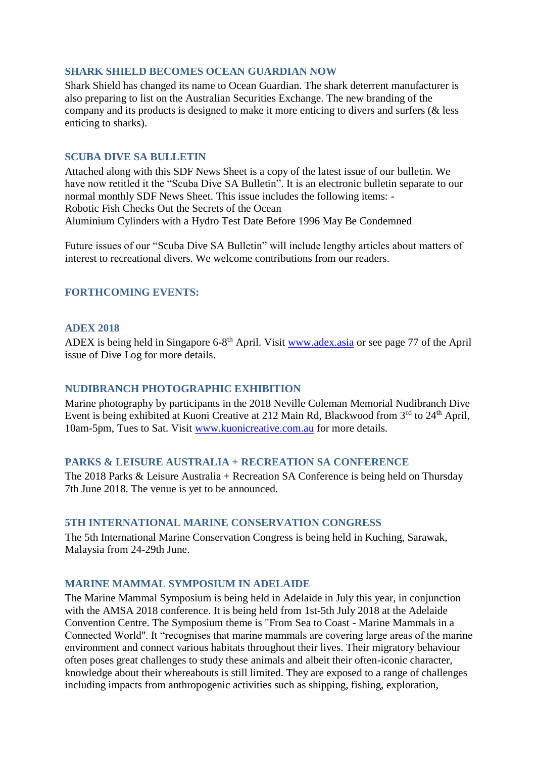### **SHARK SHIELD BECOMES OCEAN GUARDIAN NOW**

Shark Shield has changed its name to Ocean Guardian. The shark deterrent manufacturer is also preparing to list on the Australian Securities Exchange. The new branding of the company and its products is designed to make it more enticing to divers and surfers (& less enticing to sharks).

### **SCUBA DIVE SA BULLETIN**

Attached along with this SDF News Sheet is a copy of the latest issue of our bulletin. We have now retitled it the "Scuba Dive SA Bulletin". It is an electronic bulletin separate to our normal monthly SDF News Sheet. This issue includes the following items: - Robotic Fish Checks Out the Secrets of the Ocean Aluminium Cylinders with a Hydro Test Date Before 1996 May Be Condemned

Future issues of our "Scuba Dive SA Bulletin" will include lengthy articles about matters of interest to recreational divers. We welcome contributions from our readers.

# **FORTHCOMING EVENTS:**

### **ADEX 2018**

ADEX is being held in Singapore 6-8<sup>th</sup> April. Visit [www.adex.asia](http://www.adex.asia/) or see page 77 of the April issue of Dive Log for more details.

### **NUDIBRANCH PHOTOGRAPHIC EXHIBITION**

Marine photography by participants in the 2018 Neville Coleman Memorial Nudibranch Dive Event is being exhibited at Kuoni Creative at 212 Main Rd, Blackwood from  $3<sup>rd</sup>$  to  $24<sup>th</sup>$  April, 10am-5pm, Tues to Sat. Visit [www.kuonicreative.com.au](http://www.kuonicreative.com.au/) for more details.

### **PARKS & LEISURE AUSTRALIA + RECREATION SA CONFERENCE**

The 2018 Parks & Leisure Australia + Recreation SA Conference is being held on Thursday 7th June 2018. The venue is yet to be announced.

### **5TH INTERNATIONAL MARINE CONSERVATION CONGRESS**

The 5th International Marine Conservation Congress is being held in Kuching, Sarawak, Malaysia from 24-29th June.

# **MARINE MAMMAL SYMPOSIUM IN ADELAIDE**

The Marine Mammal Symposium is being held in Adelaide in July this year, in conjunction with the AMSA 2018 conference. It is being held from 1st-5th July 2018 at the Adelaide Convention Centre. The Symposium theme is "From Sea to Coast - Marine Mammals in a Connected World". It "recognises that marine mammals are covering large areas of the marine environment and connect various habitats throughout their lives. Their migratory behaviour often poses great challenges to study these animals and albeit their often-iconic character, knowledge about their whereabouts is still limited. They are exposed to a range of challenges including impacts from anthropogenic activities such as shipping, fishing, exploration,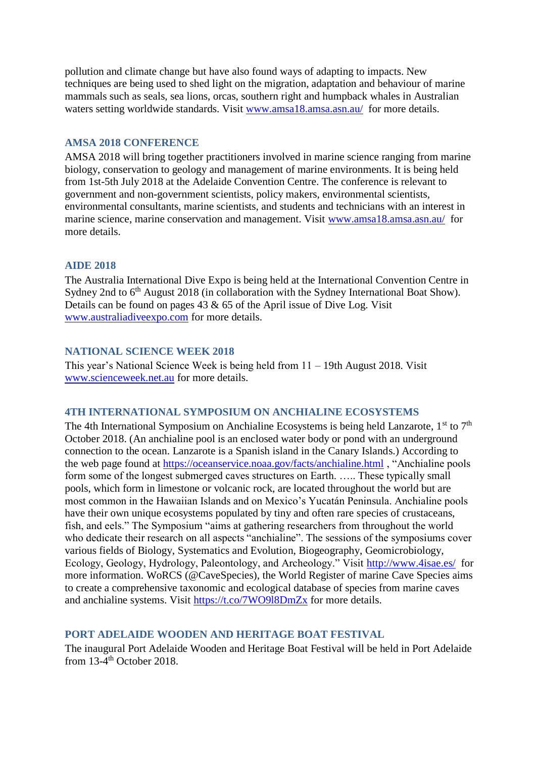pollution and climate change but have also found ways of adapting to impacts. New techniques are being used to shed light on the migration, adaptation and behaviour of marine mammals such as seals, sea lions, orcas, southern right and humpback whales in Australian waters setting worldwide standards. Visit [www.amsa18.amsa.asn.au/](http://www.amsa18.amsa.asn.au/) for more details.

### **AMSA 2018 CONFERENCE**

AMSA 2018 will bring together practitioners involved in marine science ranging from marine biology, conservation to geology and management of marine environments. It is being held from 1st-5th July 2018 at the Adelaide Convention Centre. The conference is relevant to government and non-government scientists, policy makers, environmental scientists, environmental consultants, marine scientists, and students and technicians with an interest in marine science, marine conservation and management. Visit [www.amsa18.amsa.asn.au/](http://www.amsa18.amsa.asn.au/) for more details.

#### **AIDE 2018**

The Australia International Dive Expo is being held at the International Convention Centre in Sydney 2nd to  $6<sup>th</sup>$  August 2018 (in collaboration with the Sydney International Boat Show). Details can be found on pages 43 & 65 of the April issue of Dive Log. Visit [www.australiadiveexpo.com](http://www.australiadiveexpo.com/) for more details.

#### **NATIONAL SCIENCE WEEK 2018**

This year's National Science Week is being held from 11 – 19th August 2018. Visit [www.scienceweek.net.au](http://www.scienceweek.net.au/) for more details.

#### **4TH INTERNATIONAL SYMPOSIUM ON ANCHIALINE ECOSYSTEMS**

The 4th International Symposium on Anchialine Ecosystems is being held Lanzarote,  $1^{st}$  to  $7^{th}$ October 2018. (An anchialine pool is an enclosed water body or pond with an underground connection to the ocean. Lanzarote is a Spanish island in the Canary Islands.) According to the web page found at<https://oceanservice.noaa.gov/facts/anchialine.html> , "Anchialine pools form some of the longest submerged caves structures on Earth. ….. These typically small pools, which form in limestone or volcanic rock, are located throughout the world but are most common in the Hawaiian Islands and on Mexico's Yucatán Peninsula. Anchialine pools have their own unique ecosystems populated by tiny and often rare species of crustaceans, fish, and eels." The Symposium "aims at gathering researchers from throughout the world who dedicate their research on all aspects "anchialine". The sessions of the symposiums cover various fields of Biology, Systematics and Evolution, Biogeography, Geomicrobiology, Ecology, Geology, Hydrology, Paleontology, and Archeology." Visit<http://www.4isae.es/>for more information. WoRCS (@CaveSpecies), the World Register of marine Cave Species aims to create a comprehensive taxonomic and ecological database of species from marine caves and anchialine systems. Visit<https://t.co/7WO9l8DmZx> for more details.

### **PORT ADELAIDE WOODEN AND HERITAGE BOAT FESTIVAL**

The inaugural Port Adelaide Wooden and Heritage Boat Festival will be held in Port Adelaide from 13-4<sup>th</sup> October 2018.